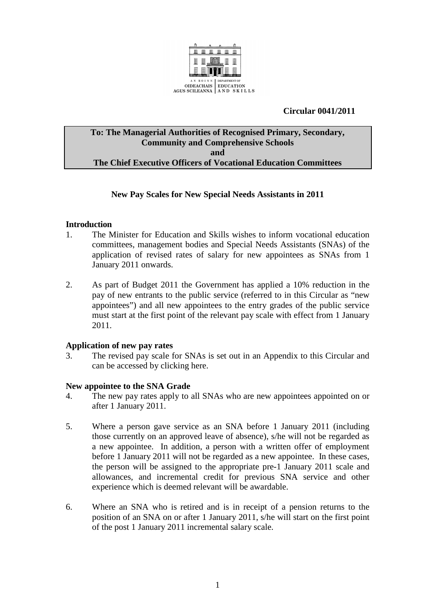

# **Circular 0041/2011**

## **To: The Managerial Authorities of Recognised Primary, Secondary, Community and Comprehensive Schools and The Chief Executive Officers of Vocational Education Committees**

### **New Pay Scales for New Special Needs Assistants in 2011**

### **Introduction**

- 1. The Minister for Education and Skills wishes to inform vocational education committees, management bodies and Special Needs Assistants (SNAs) of the application of revised rates of salary for new appointees as SNAs from 1 January 2011 onwards.
- 2. As part of Budget 2011 the Government has applied a 10% reduction in the pay of new entrants to the public service (referred to in this Circular as "new appointees") and all new appointees to the entry grades of the public service must start at the first point of the relevant pay scale with effect from 1 January 2011.

#### **Application of new pay rates**

3. The revised pay scale for SNAs is set out in an Appendix to this Circular and can be accessed by clicking here.

#### **New appointee to the SNA Grade**

- 4. The new pay rates apply to all SNAs who are new appointees appointed on or after 1 January 2011.
- 5. Where a person gave service as an SNA before 1 January 2011 (including those currently on an approved leave of absence), s/he will not be regarded as a new appointee. In addition, a person with a written offer of employment before 1 January 2011 will not be regarded as a new appointee. In these cases, the person will be assigned to the appropriate pre-1 January 2011 scale and allowances, and incremental credit for previous SNA service and other experience which is deemed relevant will be awardable.
- 6. Where an SNA who is retired and is in receipt of a pension returns to the position of an SNA on or after 1 January 2011, s/he will start on the first point of the post 1 January 2011 incremental salary scale.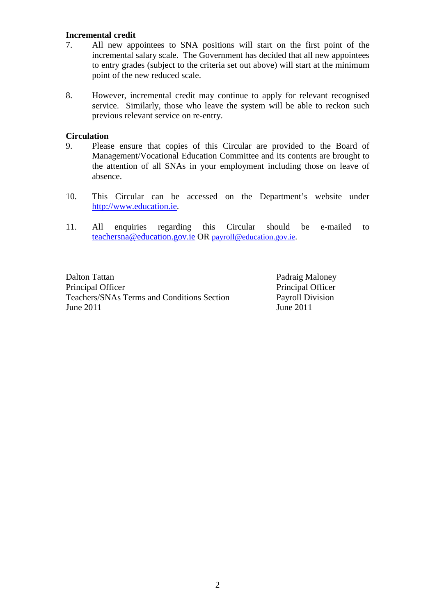#### **Incremental credit**

- 7. All new appointees to SNA positions will start on the first point of the incremental salary scale. The Government has decided that all new appointees to entry grades (subject to the criteria set out above) will start at the minimum point of the new reduced scale.
- 8. However, incremental credit may continue to apply for relevant recognised service. Similarly, those who leave the system will be able to reckon such previous relevant service on re-entry.

#### **Circulation**

- 9. Please ensure that copies of this Circular are provided to the Board of Management/Vocational Education Committee and its contents are brought to the attention of all SNAs in your employment including those on leave of absence.
- 10. This Circular can be accessed on the Department's website under http://www.education.ie.
- 11. All enquiries regarding this Circular should be e-mailed to teachersna@education.gov.ie OR payroll@education.gov.ie.

Dalton Tattan Padraig Maloney Principal Officer Principal Officer Teachers/SNAs Terms and Conditions Section Payroll Division June 2011 June 2011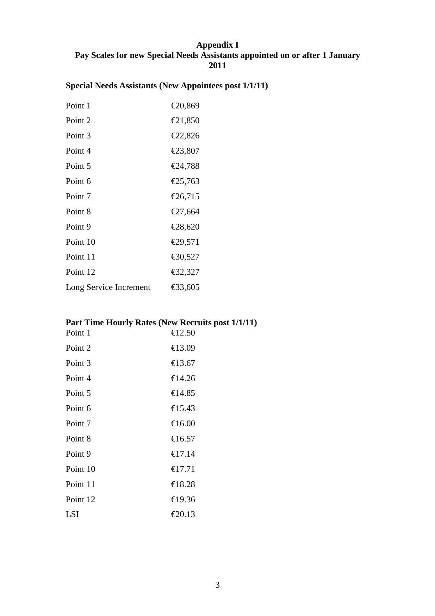# **Appendix I Pay Scales for new Special Needs Assistants appointed on or after 1 January 2011**

# **Special Needs Assistants (New Appointees post 1/1/11)**

| Point 1                | €20,869 |
|------------------------|---------|
| Point 2                | €21,850 |
| Point 3                | €22,826 |
| Point 4                | €23,807 |
| Point 5                | €24,788 |
| Point 6                | €25,763 |
| Point 7                | €26,715 |
| Point 8                | €27,664 |
| Point 9                | €28,620 |
| Point 10               | €29,571 |
| Point 11               | €30,527 |
| Point 12               | €32,327 |
| Long Service Increment | €33,605 |

# **Part Time Hourly Rates (New Recruits post 1/1/11)**

| Point 1  | €12.50 |
|----------|--------|
| Point 2  | €13.09 |
| Point 3  | €13.67 |
| Point 4  | €14.26 |
| Point 5  | €14.85 |
| Point 6  | €15.43 |
| Point 7  | €16.00 |
| Point 8  | €16.57 |
| Point 9  | €17.14 |
| Point 10 | €17.71 |
| Point 11 | €18.28 |
| Point 12 | €19.36 |
| LSI      | €20.13 |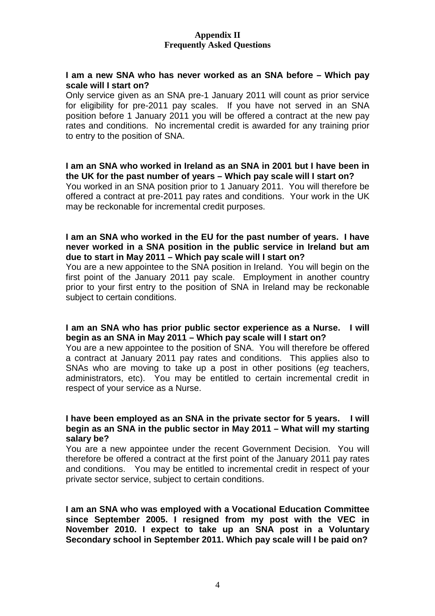### **Appendix II Frequently Asked Questions**

#### **I am a new SNA who has never worked as an SNA before – Which pay scale will I start on?**

Only service given as an SNA pre-1 January 2011 will count as prior service for eligibility for pre-2011 pay scales. If you have not served in an SNA position before 1 January 2011 you will be offered a contract at the new pay rates and conditions. No incremental credit is awarded for any training prior to entry to the position of SNA.

**I am an SNA who worked in Ireland as an SNA in 2001 but I have been in the UK for the past number of years – Which pay scale will I start on?**  You worked in an SNA position prior to 1 January 2011. You will therefore be offered a contract at pre-2011 pay rates and conditions. Your work in the UK may be reckonable for incremental credit purposes.

### **I am an SNA who worked in the EU for the past number of years. I have never worked in a SNA position in the public service in Ireland but am due to start in May 2011 – Which pay scale will I start on?**

You are a new appointee to the SNA position in Ireland. You will begin on the first point of the January 2011 pay scale. Employment in another country prior to your first entry to the position of SNA in Ireland may be reckonable subject to certain conditions.

### **I am an SNA who has prior public sector experience as a Nurse. I will begin as an SNA in May 2011 – Which pay scale will I start on?**

You are a new appointee to the position of SNA. You will therefore be offered a contract at January 2011 pay rates and conditions. This applies also to SNAs who are moving to take up a post in other positions (eg teachers, administrators, etc). You may be entitled to certain incremental credit in respect of your service as a Nurse.

#### **I have been employed as an SNA in the private sector for 5 years. I will begin as an SNA in the public sector in May 2011 – What will my starting salary be?**

You are a new appointee under the recent Government Decision. You will therefore be offered a contract at the first point of the January 2011 pay rates and conditions. You may be entitled to incremental credit in respect of your private sector service, subject to certain conditions.

**I am an SNA who was employed with a Vocational Education Committee since September 2005. I resigned from my post with the VEC in November 2010. I expect to take up an SNA post in a Voluntary Secondary school in September 2011. Which pay scale will I be paid on?**